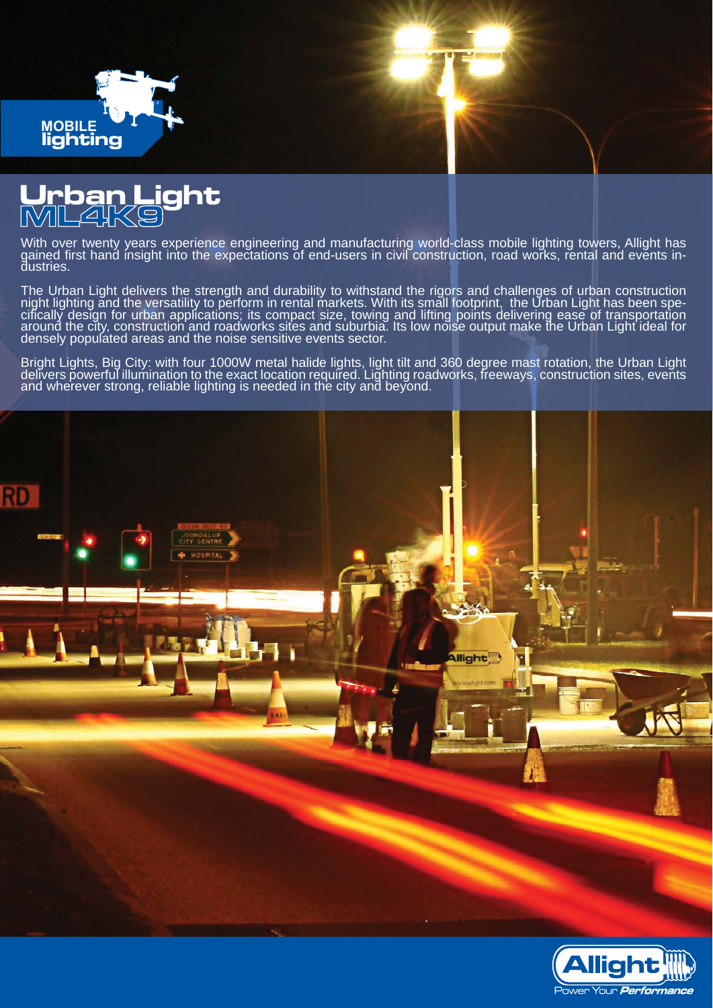

## **Urban Light ML4K9**

With over twenty years experience engineering and manufacturing world-class mobile lighting towers, Allight has gained first hand insight into the expectations of end-users in civil construction, road works, rental and events in-<br>dustries.

The Urban Light delivers the strength and durability to withstand the rigors and challenges of urban construction night lighting and the versatility to perform in rental markets. With its small footprint, the Urban Light has been specifícally desĭgn for urban applications; its compact size, towing and lifting points delivering ease of transportation<br>around the city, construction and roadworks sites and suburbia. Its low noise output make the Urban Lig densely populated areas and the noise sensitive events sector.

Bright Lights, Big City: with four 1000W metal halide lights, light tilt and 360 degree mast rotation, the Urban Light delivers powerful illumination to the exact location required. Lighting roadworks, freeways, construction sites, events and wherever strong, reliable lighting is needed in the city and beyond.